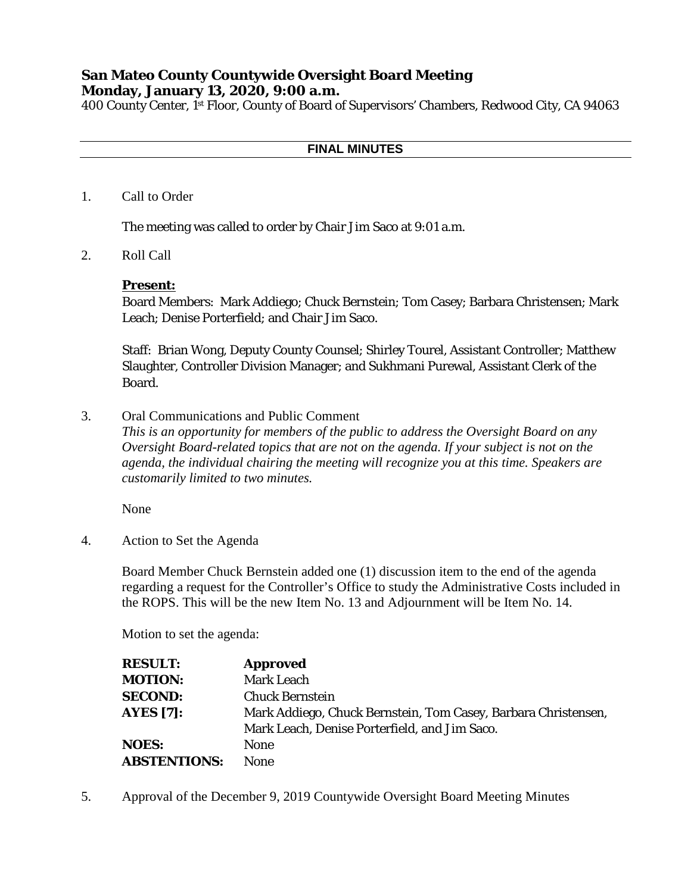# **San Mateo County Countywide Oversight Board Meeting Monday, January 13, 2020, 9:00 a.m.**

400 County Center, 1st Floor, County of Board of Supervisors' Chambers, Redwood City, CA 94063

#### **FINAL MINUTES**

1. Call to Order

The meeting was called to order by Chair Jim Saco at 9:01 a.m.

2. Roll Call

#### **Present:**

Board Members: Mark Addiego; Chuck Bernstein; Tom Casey; Barbara Christensen; Mark Leach; Denise Porterfield; and Chair Jim Saco.

Staff: Brian Wong, Deputy County Counsel; Shirley Tourel, Assistant Controller; Matthew Slaughter, Controller Division Manager; and Sukhmani Purewal, Assistant Clerk of the Board.

3. Oral Communications and Public Comment

*This is an opportunity for members of the public to address the Oversight Board on any Oversight Board-related topics that are not on the agenda. If your subject is not on the agenda, the individual chairing the meeting will recognize you at this time. Speakers are customarily limited to two minutes.*

None

4. Action to Set the Agenda

Board Member Chuck Bernstein added one (1) discussion item to the end of the agenda regarding a request for the Controller's Office to study the Administrative Costs included in the ROPS. This will be the new Item No. 13 and Adjournment will be Item No. 14.

Motion to set the agenda:

| <b>RESULT:</b>      | <b>Approved</b>                                                |
|---------------------|----------------------------------------------------------------|
| <b>MOTION:</b>      | <b>Mark Leach</b>                                              |
| <b>SECOND:</b>      | <b>Chuck Bernstein</b>                                         |
| <b>AYES [7]:</b>    | Mark Addiego, Chuck Bernstein, Tom Casey, Barbara Christensen, |
|                     | Mark Leach, Denise Porterfield, and Jim Saco.                  |
| <b>NOES:</b>        | <b>None</b>                                                    |
| <b>ABSTENTIONS:</b> | <b>None</b>                                                    |

5. Approval of the December 9, 2019 Countywide Oversight Board Meeting Minutes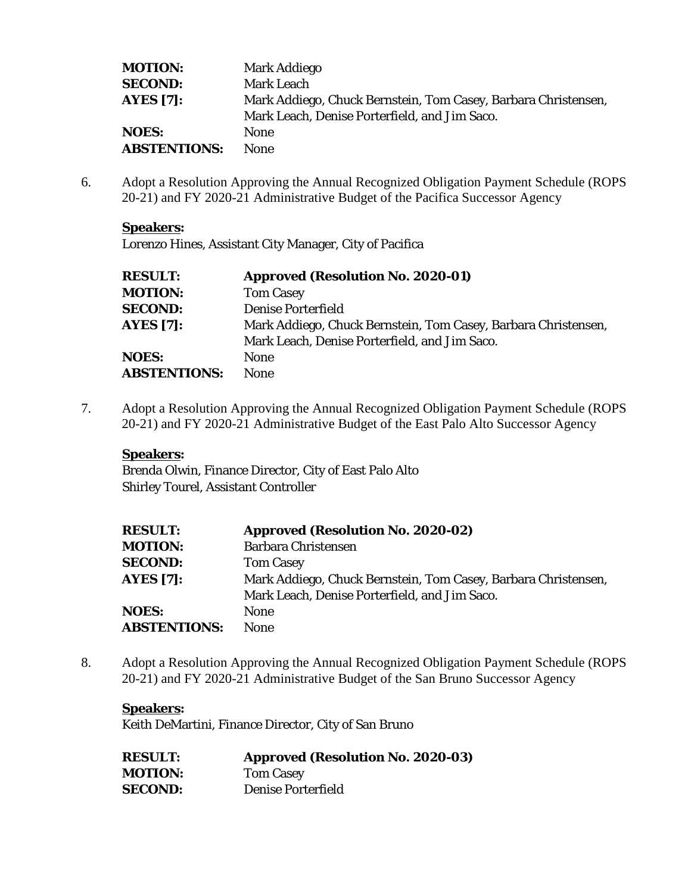| <b>MOTION:</b>      | Mark Addiego                                                   |
|---------------------|----------------------------------------------------------------|
| <b>SECOND:</b>      | <b>Mark Leach</b>                                              |
| <b>AYES</b> [7]:    | Mark Addiego, Chuck Bernstein, Tom Casey, Barbara Christensen, |
|                     | Mark Leach, Denise Porterfield, and Jim Saco.                  |
| <b>NOES:</b>        | <b>None</b>                                                    |
| <b>ABSTENTIONS:</b> | <b>None</b>                                                    |

6. Adopt a Resolution Approving the Annual Recognized Obligation Payment Schedule (ROPS 20-21) and FY 2020-21 Administrative Budget of the Pacifica Successor Agency

## **Speakers:**

Lorenzo Hines, Assistant City Manager, City of Pacifica

| <b>RESULT:</b>      | <b>Approved (Resolution No. 2020-01)</b>                       |
|---------------------|----------------------------------------------------------------|
| <b>MOTION:</b>      | <b>Tom Casey</b>                                               |
| <b>SECOND:</b>      | <b>Denise Porterfield</b>                                      |
| <b>AYES [7]:</b>    | Mark Addiego, Chuck Bernstein, Tom Casey, Barbara Christensen, |
|                     | Mark Leach, Denise Porterfield, and Jim Saco.                  |
| <b>NOES:</b>        | <b>None</b>                                                    |
| <b>ABSTENTIONS:</b> | <b>None</b>                                                    |

7. Adopt a Resolution Approving the Annual Recognized Obligation Payment Schedule (ROPS 20-21) and FY 2020-21 Administrative Budget of the East Palo Alto Successor Agency

## **Speakers:**

Brenda Olwin, Finance Director, City of East Palo Alto Shirley Tourel, Assistant Controller

| <b>RESULT:</b>      | <b>Approved (Resolution No. 2020-02)</b>                       |
|---------------------|----------------------------------------------------------------|
| <b>MOTION:</b>      | <b>Barbara Christensen</b>                                     |
| <b>SECOND:</b>      | <b>Tom Casey</b>                                               |
| <b>AYES [7]:</b>    | Mark Addiego, Chuck Bernstein, Tom Casey, Barbara Christensen, |
|                     | Mark Leach, Denise Porterfield, and Jim Saco.                  |
| <b>NOES:</b>        | <b>None</b>                                                    |
| <b>ABSTENTIONS:</b> | <b>None</b>                                                    |

8. Adopt a Resolution Approving the Annual Recognized Obligation Payment Schedule (ROPS 20-21) and FY 2020-21 Administrative Budget of the San Bruno Successor Agency

#### **Speakers:**

Keith DeMartini, Finance Director, City of San Bruno

| <b>RESULT:</b> | <b>Approved (Resolution No. 2020-03)</b> |
|----------------|------------------------------------------|
| <b>MOTION:</b> | <b>Tom Casey</b>                         |
| <b>SECOND:</b> | Denise Porterfield                       |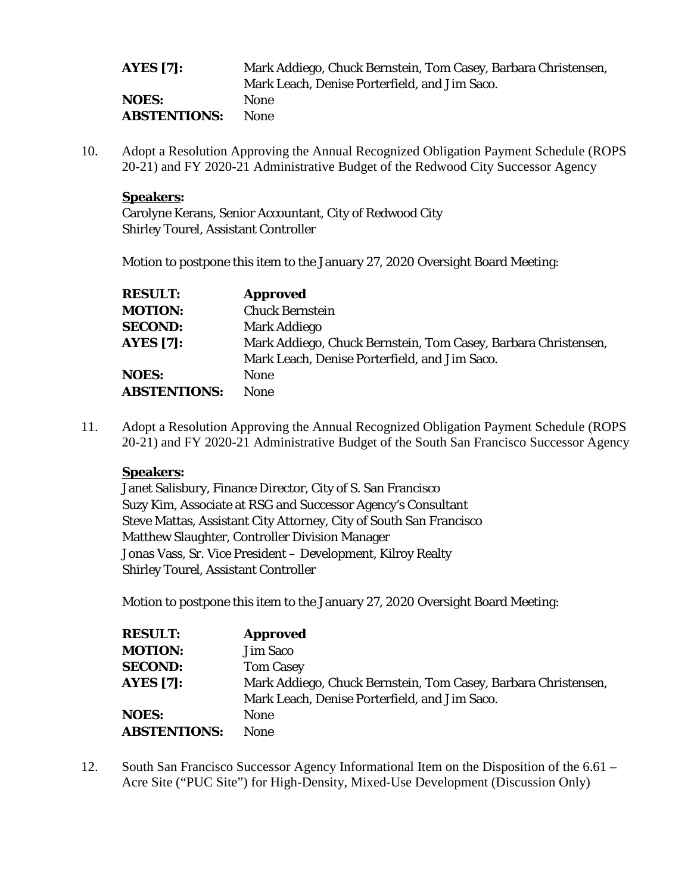| AYES $[7]$ :        | Mark Addiego, Chuck Bernstein, Tom Casey, Barbara Christensen, |
|---------------------|----------------------------------------------------------------|
|                     | Mark Leach, Denise Porterfield, and Jim Saco.                  |
| <b>NOES:</b>        | <b>None</b>                                                    |
| <b>ABSTENTIONS:</b> | <b>None</b>                                                    |

10. Adopt a Resolution Approving the Annual Recognized Obligation Payment Schedule (ROPS 20-21) and FY 2020-21 Administrative Budget of the Redwood City Successor Agency

#### **Speakers:**

Carolyne Kerans, Senior Accountant, City of Redwood City Shirley Tourel, Assistant Controller

Motion to postpone this item to the January 27, 2020 Oversight Board Meeting:

| <b>RESULT:</b>      | <b>Approved</b>                                                |
|---------------------|----------------------------------------------------------------|
| <b>MOTION:</b>      | <b>Chuck Bernstein</b>                                         |
| <b>SECOND:</b>      | Mark Addiego                                                   |
| <b>AYES</b> [7]:    | Mark Addiego, Chuck Bernstein, Tom Casey, Barbara Christensen, |
|                     | Mark Leach, Denise Porterfield, and Jim Saco.                  |
| <b>NOES:</b>        | <b>None</b>                                                    |
| <b>ABSTENTIONS:</b> | None                                                           |

11. Adopt a Resolution Approving the Annual Recognized Obligation Payment Schedule (ROPS 20-21) and FY 2020-21 Administrative Budget of the South San Francisco Successor Agency

## **Speakers:**

Janet Salisbury, Finance Director, City of S. San Francisco Suzy Kim, Associate at RSG and Successor Agency's Consultant Steve Mattas, Assistant City Attorney, City of South San Francisco Matthew Slaughter, Controller Division Manager Jonas Vass, Sr. Vice President – Development, Kilroy Realty Shirley Tourel, Assistant Controller

Motion to postpone this item to the January 27, 2020 Oversight Board Meeting:

| <b>RESULT:</b>      | <b>Approved</b>                                                |
|---------------------|----------------------------------------------------------------|
| <b>MOTION:</b>      | <b>Jim Saco</b>                                                |
| <b>SECOND:</b>      | <b>Tom Casey</b>                                               |
| <b>AYES</b> [7]:    | Mark Addiego, Chuck Bernstein, Tom Casey, Barbara Christensen, |
|                     | Mark Leach, Denise Porterfield, and Jim Saco.                  |
| <b>NOES:</b>        | None                                                           |
| <b>ABSTENTIONS:</b> | <b>None</b>                                                    |

12. South San Francisco Successor Agency Informational Item on the Disposition of the 6.61 – Acre Site ("PUC Site") for High-Density, Mixed-Use Development (Discussion Only)